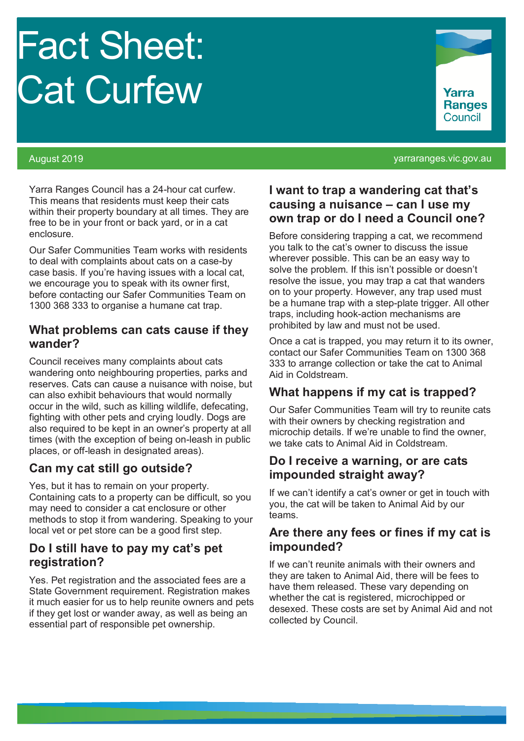# Fact Sheet: Cat Curfew



#### August 2019

yarraranges.vic.gov.au

Yarra Ranges Council has a 24-hour cat curfew. This means that residents must keep their cats within their property boundary at all times. They are free to be in your front or back yard, or in a cat enclosure.

Our Safer Communities Team works with residents to deal with complaints about cats on a case-by case basis. If you're having issues with a local cat, we encourage you to speak with its owner first, before contacting our Safer Communities Team on 1300 368 333 to organise a humane cat trap.

#### **What problems can cats cause if they wander?**

Council receives many complaints about cats wandering onto neighbouring properties, parks and reserves. Cats can cause a nuisance with noise, but can also exhibit behaviours that would normally occur in the wild, such as killing wildlife, defecating, fighting with other pets and crying loudly. Dogs are also required to be kept in an owner's property at all times (with the exception of being on-leash in public places, or off-leash in designated areas).

# **Can my cat still go outside?**

Yes, but it has to remain on your property. Containing cats to a property can be difficult, so you may need to consider a cat enclosure or other methods to stop it from wandering. Speaking to your local vet or pet store can be a good first step.

#### **Do I still have to pay my cat's pet registration?**

Yes. Pet registration and the associated fees are a State Government requirement. Registration makes it much easier for us to help reunite owners and pets if they get lost or wander away, as well as being an essential part of responsible pet ownership.

#### **I want to trap a wandering cat that's causing a nuisance – can I use my own trap or do I need a Council one?**

Before considering trapping a cat, we recommend you talk to the cat's owner to discuss the issue wherever possible. This can be an easy way to solve the problem. If this isn't possible or doesn't resolve the issue, you may trap a cat that wanders on to your property. However, any trap used must be a humane trap with a step-plate trigger. All other traps, including hook-action mechanisms are prohibited by law and must not be used.

Once a cat is trapped, you may return it to its owner, contact our Safer Communities Team on 1300 368 333 to arrange collection or take the cat to Animal Aid in Coldstream.

# **What happens if my cat is trapped?**

Our Safer Communities Team will try to reunite cats with their owners by checking registration and microchip details. If we're unable to find the owner, we take cats to Animal Aid in Coldstream.

## **Do I receive a warning, or are cats impounded straight away?**

If we can't identify a cat's owner or get in touch with you, the cat will be taken to Animal Aid by our teams.

# **Are there any fees or fines if my cat is impounded?**

If we can't reunite animals with their owners and they are taken to Animal Aid, there will be fees to have them released. These vary depending on whether the cat is registered, microchipped or desexed. These costs are set by Animal Aid and not collected by Council.